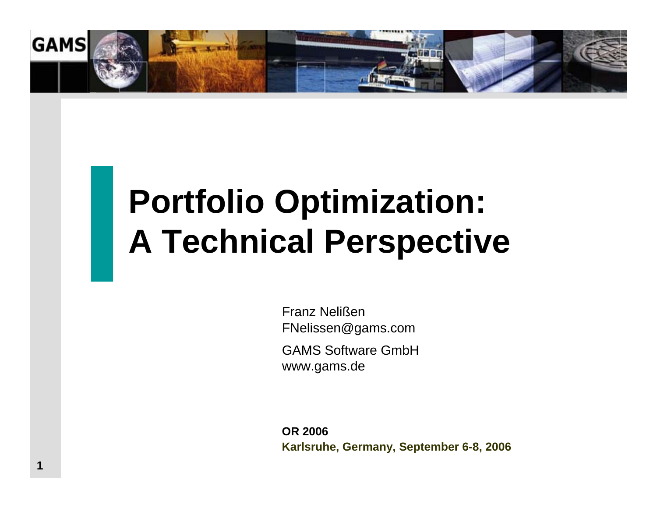

# **Portfolio Optimization: A Technical Perspective**

Franz NelißenFNelissen@gams.com

GAMS Software GmbHwww.gams.de

**OR 2006Karlsruhe, Germany, September 6-8, 2006**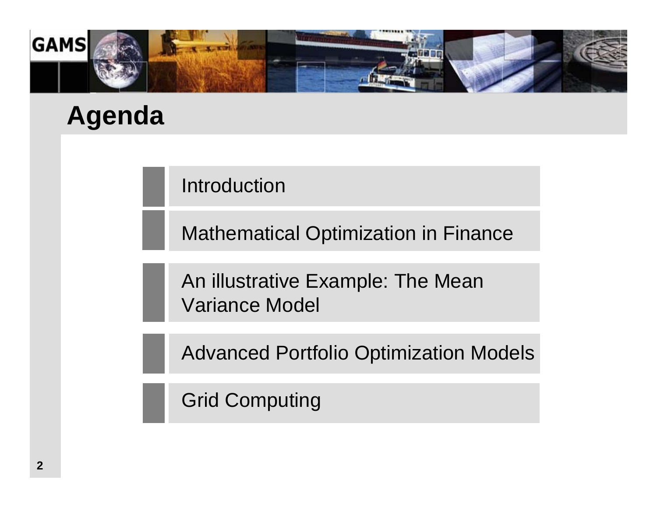

# **Agenda**

Introduction

Mathematical Optimization in Finance

An illustrative Example: The Mean Variance Model

Advanced Portfolio Optimization Models

Grid Computing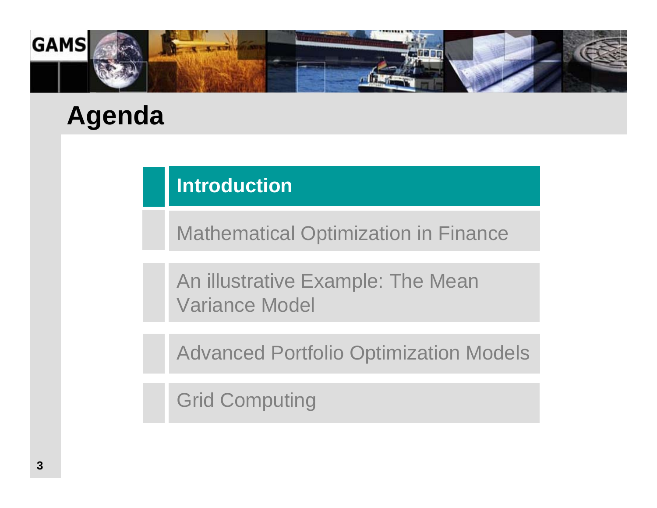

# **Agenda**

### **Introduction**

Mathematical Optimization in Finance

An illustrative Example: The Mean Variance Model

Advanced Portfolio Optimization Models

Grid Computing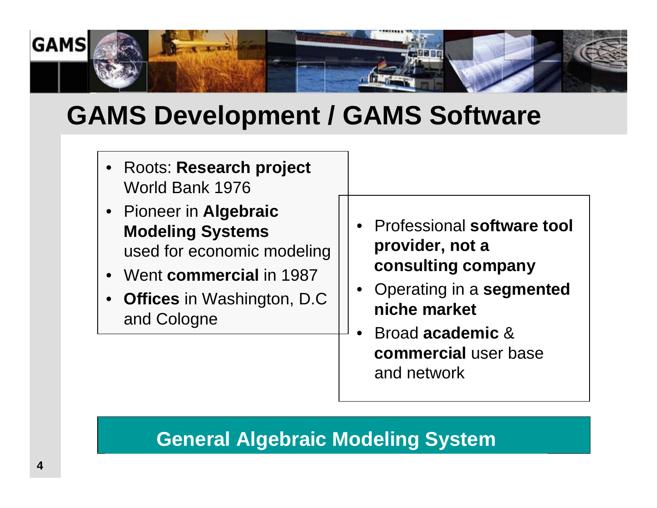

# **GAMS Development / GAMS Software**

- Roots: **Research project**  World Bank 1976
- Pioneer in **Algebraic Modeling Systems** used for economic modeling
- Went **commercial** in 1987
- • **Offices** in Washington, D.C and Cologne
- • Professional **software tool provider, not a consulting company**
- • Operating in a **segmented niche market**
- • Broad **academic** & **commercial** user baseand network

### **General Algebraic Modeling System**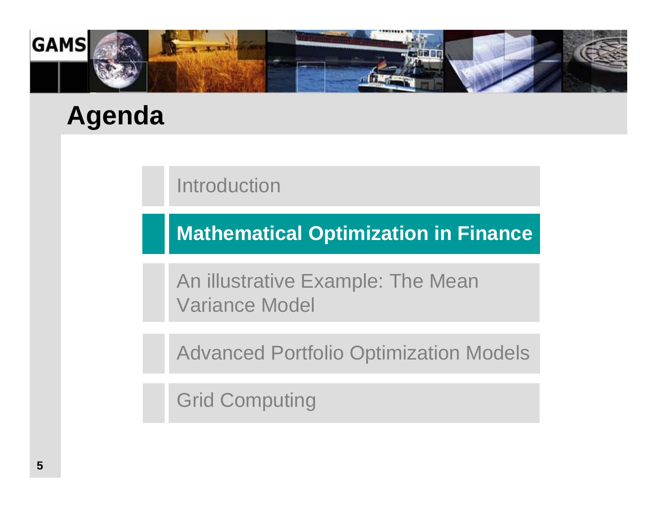

# **Agenda**

Introduction

**Mathematical Optimization in Finance**

An illustrative Example: The Mean Variance Model

Advanced Portfolio Optimization Models

Grid Computing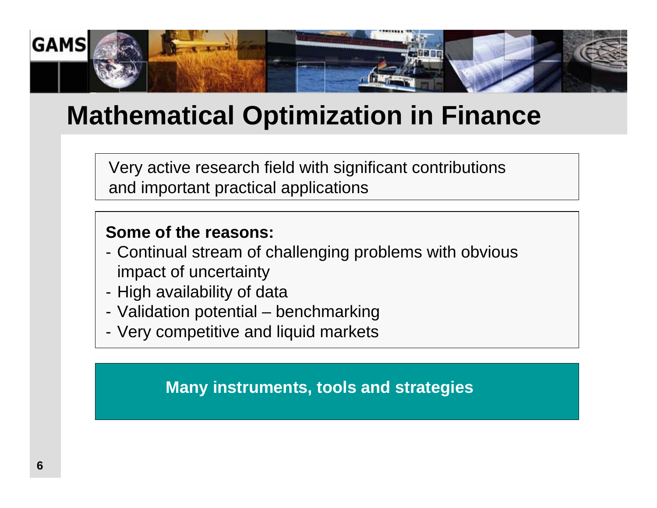

# **Mathematical Optimization in Finance**

Very active research field with significant contributions and important practical applications

#### **Some of the reasons:**

- - Continual stream of challenging problems with obvious impact of uncertainty
- -High availability of data
- Validation potential benchmarking
- Very competitive and liquid markets

**Many instruments, tools and strategies**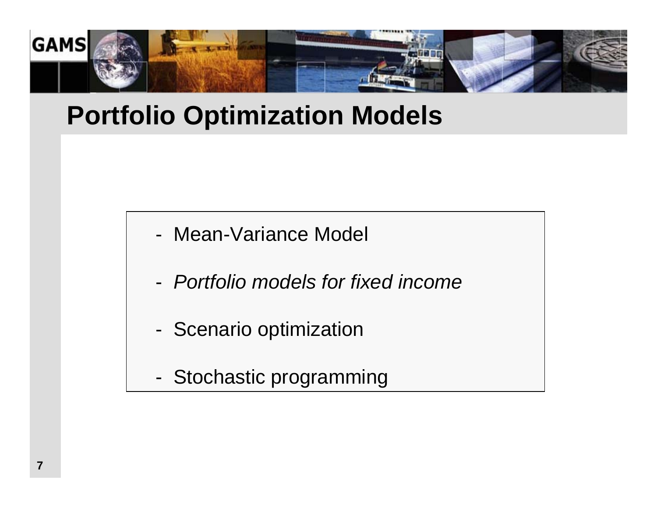

# **Portfolio Optimization Models**

- Mean-Variance Model
- *Portfolio models for fixed income*
- -Scenario optimization
- -Stochastic programming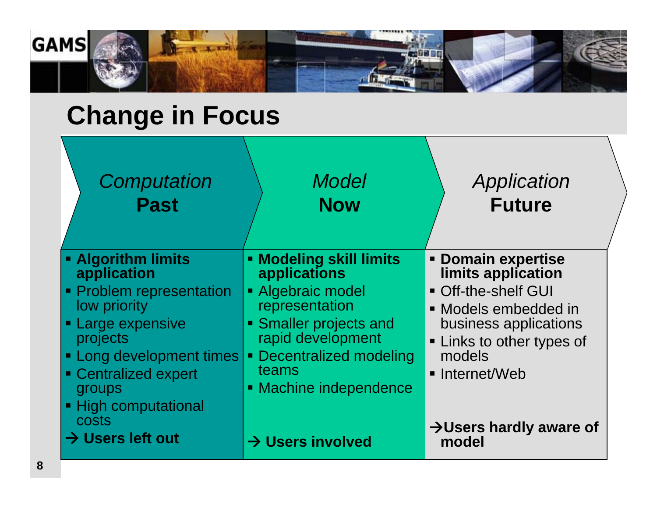

# **Change in Focus**

| Computation                                                                                                                                                                                                                                                      | <b>Model</b>                                                                                                                                                                                                                                             | Application                                                                                                                                                                                                                             |
|------------------------------------------------------------------------------------------------------------------------------------------------------------------------------------------------------------------------------------------------------------------|----------------------------------------------------------------------------------------------------------------------------------------------------------------------------------------------------------------------------------------------------------|-----------------------------------------------------------------------------------------------------------------------------------------------------------------------------------------------------------------------------------------|
| <b>Past</b>                                                                                                                                                                                                                                                      | <b>Now</b>                                                                                                                                                                                                                                               | <b>Future</b>                                                                                                                                                                                                                           |
| <b>- Algorithm limits</b><br>application<br>• Problem representation<br>low priority<br><b>Large expensive</b><br>projects<br><b>- Long development times</b><br>• Centralized expert<br>groups<br>■ High computational<br>costs<br>$\rightarrow$ Users left out | <b>Modeling skill limits</b><br>applications<br>• Algebraic model<br>representation<br>• Smaller projects and<br>rapid development<br><b>Decentralized modeling</b><br>$\blacksquare$<br>teams<br>• Machine independence<br>$\rightarrow$ Users involved | <b>- Domain expertise</b><br>limits application<br>• Off-the-shelf GUI<br>• Models embedded in<br>business applications<br><b>- Links to other types of</b><br>models<br>• Internet/Web<br>$\rightarrow$ Users hardly aware of<br>model |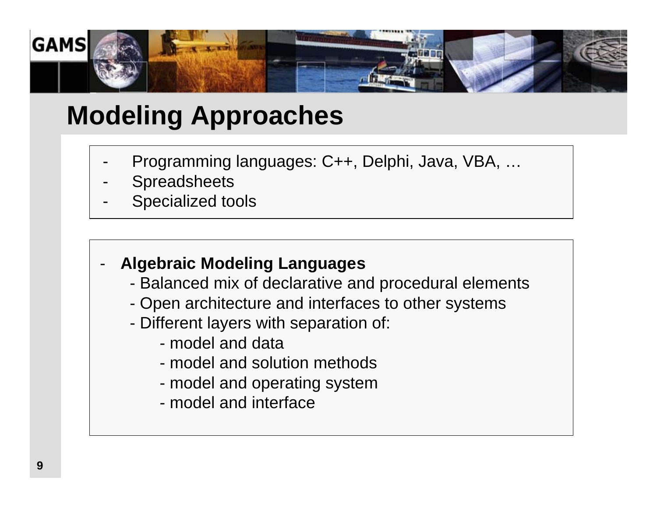

# **Modeling Approaches**

- -Programming languages: C++, Delphi, Java, VBA, …
- -**Spreadsheets**
- -Specialized tools

#### **Algebraic Modeling Languages**

- Balanced mix of declarative and procedural elements
- Open architecture and interfaces to other systems
- Different layers with separation of:
	- model and data
	- model and solution methods
	- model and operating system
	- model and interface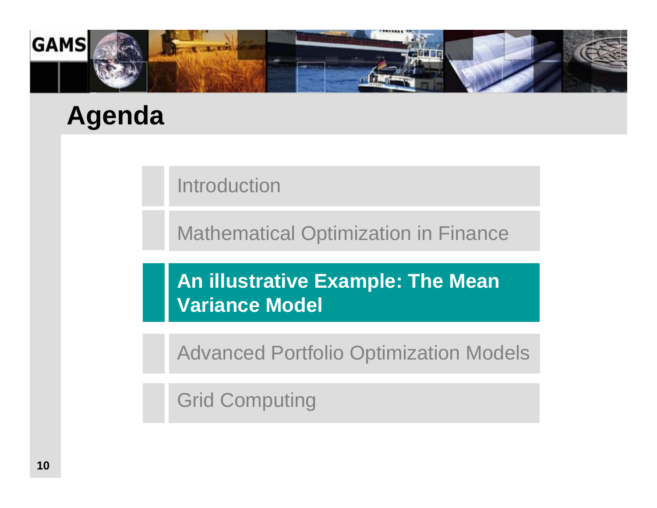

# **Agenda**

Introduction

Mathematical Optimization in Finance

**An illustrative Example: The Mean Variance Model**

Advanced Portfolio Optimization Models

Grid Computing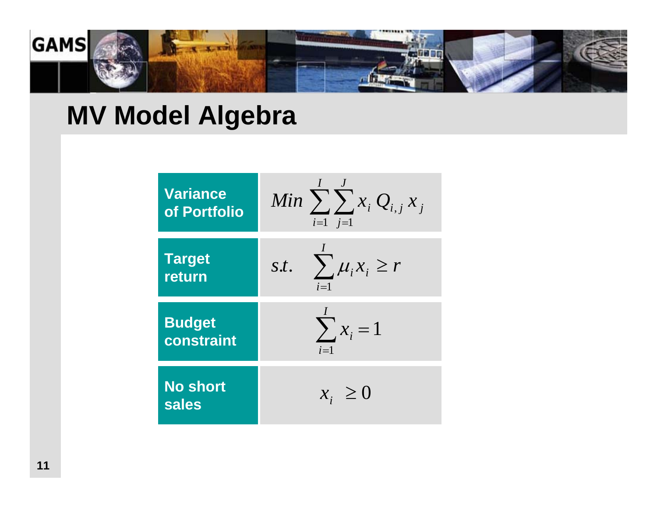

# **MV Model Algebra**

| <b>Variance</b>                 | Min $\sum_{i=1}^{n} x_i Q_{i,j} x_j$             |
|---------------------------------|--------------------------------------------------|
| of Portfolio                    | $i=1$ $i=1$                                      |
| <b>Target</b><br>return         | $\sum_{i} \mu_{i} x_{i} \geq r$<br>S.t.<br>$i=1$ |
| <b>Budget</b>                   | $\sum x_i = 1$                                   |
| constraint                      | $i=1$                                            |
| <b>No short</b><br><b>sales</b> | $x_i \geq 0$                                     |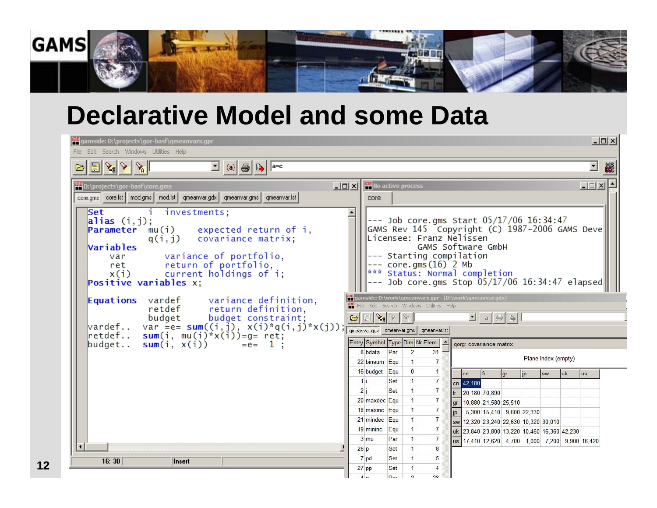

### **Declarative Model and some Data**

| $\Box$<br><b>IDE</b> gamside: D:\projects\gor-basf\qmeanvarx.gpr<br>File Edit Search Windows Utilities Help                                                                                                                                                                                                                                                                                                                                                                                  |                                                                                                                                                                                                                                                                                                                                                                                                                                                                                                                                                                                                                                                                                                                                                                                                                                                                                    |  |  |  |  |  |  |  |
|----------------------------------------------------------------------------------------------------------------------------------------------------------------------------------------------------------------------------------------------------------------------------------------------------------------------------------------------------------------------------------------------------------------------------------------------------------------------------------------------|------------------------------------------------------------------------------------------------------------------------------------------------------------------------------------------------------------------------------------------------------------------------------------------------------------------------------------------------------------------------------------------------------------------------------------------------------------------------------------------------------------------------------------------------------------------------------------------------------------------------------------------------------------------------------------------------------------------------------------------------------------------------------------------------------------------------------------------------------------------------------------|--|--|--|--|--|--|--|
| $\mathbb{E} \mathcal{S} \mathcal{S}  \mathcal{S} $<br>회<br><b>BS</b><br>[ن                                                                                                                                                                                                                                                                                                                                                                                                                   |                                                                                                                                                                                                                                                                                                                                                                                                                                                                                                                                                                                                                                                                                                                                                                                                                                                                                    |  |  |  |  |  |  |  |
| D:\projects\gor-basf\core.gms<br>core.gms   core.lst   mod.gms   mod.lst   qmeanvar.gdx   qmeanvar.gms   qmeanvar.lst  <br>Set<br>i investments;<br>alias $(i, j)$ ;<br><b>Parameter</b> $mu(i)$ expected return of i,<br>q(i,j) covariance matrix;<br>Variables<br>var variance of portfolio,<br>ret return of portfolio,<br>x(i) current holdings of i;<br>Positive variables x;<br><b>Equations</b> vardef variance definition,<br>retdef return definition,<br>budget budget constraint; | $\boxed{\square}$ $\boxed{\square}$ $\boxed{\times}$ No active process<br>그미지수<br>core<br>$---$ Job core.gms Start $05/17/06$ 16:34:47<br>GAMS Rev 145 Copyright (C) 1987-2006 GAMS Deve<br>Licensee: Franz Nelissen<br>GAMS Software GmbH<br>--- Starting compilation<br>$---$ core.gms $(16)$ 2 Mb<br>*** Status: Normal completion<br>$---$ Job core.gms Stop $05/17/06$ 16:34:47 elapsed<br>gamside: D:\work\gmeanvarx.gpr - [D:\work\gmeanvar.gdx]<br><b>IDE</b> File Edit Search Windows Utilities Help                                                                                                                                                                                                                                                                                                                                                                      |  |  |  |  |  |  |  |
| vardef var =e= sum( $(i, j)$ , x(i)*q(i,j)*x(j));<br>retdef sum(i, mu(i)*x(i))=g= ret;<br>budget<br>sum(i, $x(i)$ ) = e= 1;                                                                                                                                                                                                                                                                                                                                                                  | $\bigcirc \Box \bigcirc \langle \mathbf{L} \mathbf{L} \mathbf{L} \mathbf{L} \mathbf{L} \mathbf{L} \mathbf{L} \mathbf{L} \mathbf{L} \mathbf{L} \mathbf{L} \mathbf{L} \mathbf{L} \mathbf{L} \mathbf{L} \mathbf{L} \mathbf{L} \mathbf{L} \mathbf{L} \mathbf{L} \mathbf{L} \mathbf{L} \mathbf{L} \mathbf{L} \mathbf{L} \mathbf{L} \mathbf{L} \mathbf{L} \mathbf{L} \mathbf{L} \mathbf{L} \mathbf{L} \mathbf{L} \mathbf{L} \mathbf{L}$<br>gmeanvar.gdx gmeanvar.gms gmeanvar.lst<br>Entry Symbol Type Dim Nr Elem  <br>qorg: covariance matrix<br>$\overline{2}$<br>8 bdata Par<br>31<br>Plane Index (empty)<br>$\overline{7}$<br>22 binsum Equ<br>$\blacksquare$<br>16 budget Equ<br>$\mathbf{0}$<br>$\mathbf{1}$<br> f<br><b>uk</b><br> cn <br>gr<br>jp<br><b>SW</b><br>lus<br>11<br>$\overline{7}$<br>Set<br>cn 42,180<br>2i<br>$\overline{7}$<br>Set<br>$\vert$<br>fr 20,180 70,890 |  |  |  |  |  |  |  |
| 16:30<br><b>Insert</b>                                                                                                                                                                                                                                                                                                                                                                                                                                                                       | $\overline{7}$<br>20 maxdec Equ<br>$\blacksquare$<br>10,880 21,580 25,510<br>lgr<br>$\overline{7}$<br>18 maxinc Equ<br>$\blacksquare$<br>5,300 15,410 9,600 22,330<br>lip<br>$\overline{7}$<br>21 mindec Equ<br>$\mathbf{1}$<br>sw 12.320 23.240 22.630 10.320 30.010<br>19 mininc Equ<br>$\overline{7}$<br>uk 23,840 23,800 13,220 10,460 16,360 42,230<br>$\overline{7}$<br>$3 \mu$<br>Par<br>us 17,410 12,620 4,700 1,000 7,200 9,900 16,420<br>8<br>26p<br>Set<br>7 pd<br>Set<br>$\blacksquare$<br>5<br>$27$ pp<br>Set<br>$\Delta$                                                                                                                                                                                                                                                                                                                                             |  |  |  |  |  |  |  |

**12**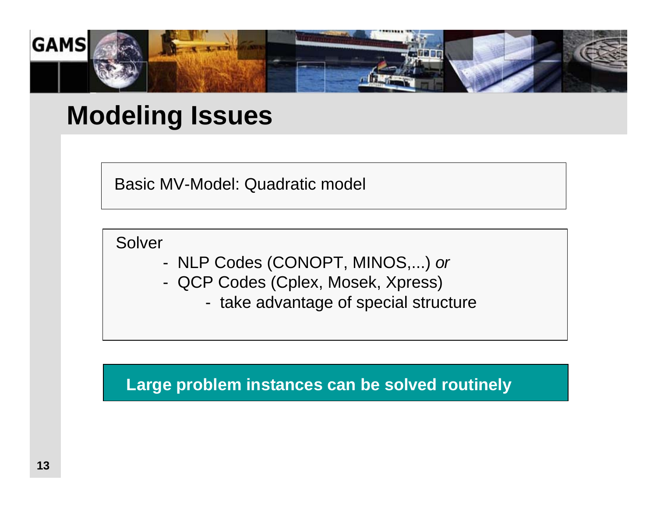

## **Modeling Issues**

Basic MV-Model: Quadratic model

**Solver** 

- -NLP Codes (CONOPT, MINOS,...) *or*
- - QCP Codes (Cplex, Mosek, Xpress)
	- take advantage of special structure

**Large problem instances can be solved routinely**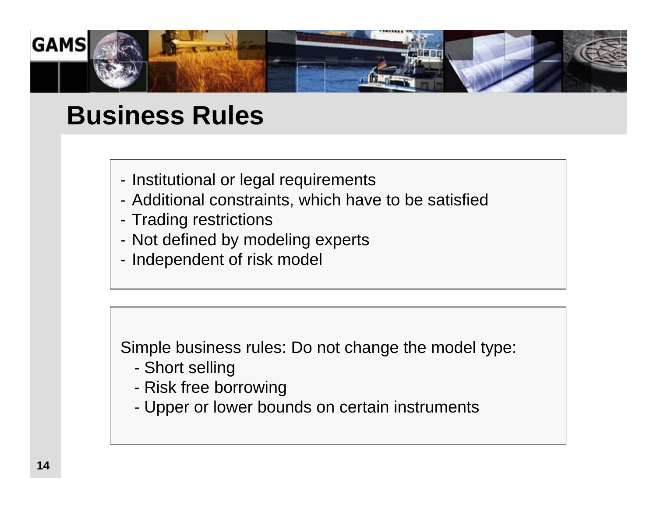

## **Business Rules**

- Institutional or legal requirements
- Additional constraints, which have to be satisfied
- Trading restrictions
- Not defined by modeling experts
- Independent of risk model

Simple business rules: Do not change the model type:

- -Short selling
- -Risk free borrowing
- Upper or lower bounds on certain instruments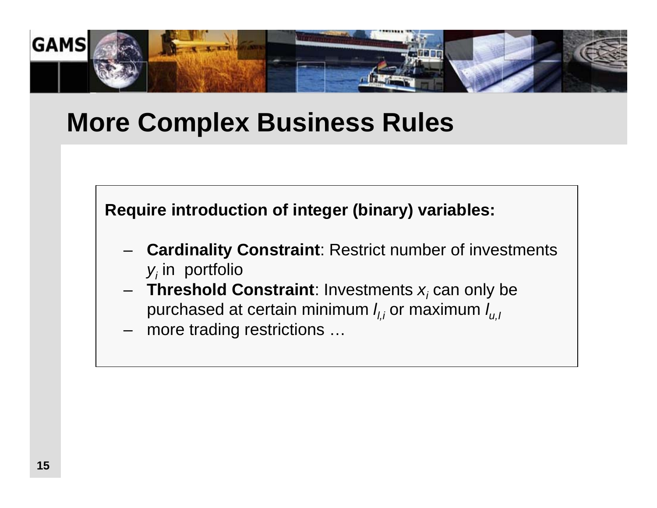

# **More Complex Business Rules**

**Require introduction of integer (binary) variables:**

- **Cardinality Constraint**: Restrict number of investments *yi* in portfolio
- **Threshold Constraint**: Investments *xi* can only be purchased at certain minimum  $I_{l,i}$  or maximum  $I_{u,i}$

more trading restrictions …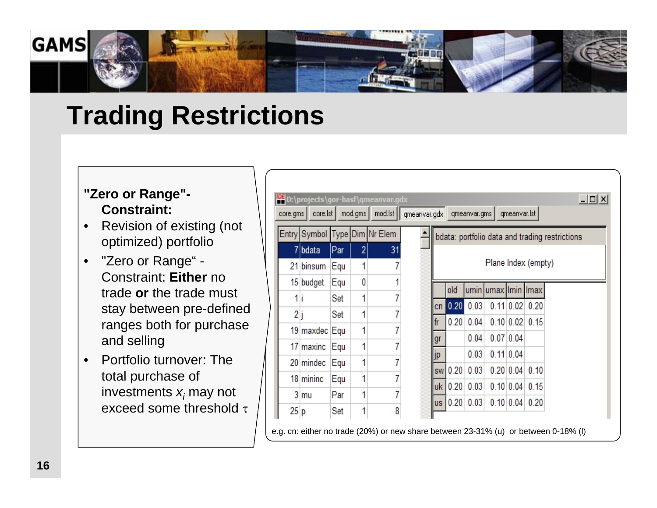

# **Trading Restrictions**

#### **"Zero or Range"- Constraint:**

- • Revision of existing (not optimized) portfolio
- $\bullet$  "Zero or Range" - Constraint: **Either** no trade **or** the trade must stay between pre-defined ranges both for purchase and selling
- • Portfolio turnover: The total purchase of investments *x<sub>i</sub>* may not exceed some threshold τ

| $ \Box$ $\times$<br>D:\projects\gor-basf\qmeanvar.gdx |                 |     |   |                  |                                                                     |                     |                |                |             |                    |  |
|-------------------------------------------------------|-----------------|-----|---|------------------|---------------------------------------------------------------------|---------------------|----------------|----------------|-------------|--------------------|--|
| core.gms                                              | $core.$ st      |     |   |                  | mod.gms   mod.lst     qmeanvar.gdx   qmeanvar.gms  <br>qmeanvar.lst |                     |                |                |             |                    |  |
|                                                       | Entry Symbol    |     |   | Type Dim Nr Elem | bdata: portfolio data and trading restrictions                      |                     |                |                |             |                    |  |
|                                                       | 7 bdata         | Par | 2 | 31               |                                                                     |                     |                |                |             |                    |  |
|                                                       | 21 binsum       | Equ | 1 | 7                |                                                                     | Plane Index (empty) |                |                |             |                    |  |
|                                                       | 15 budget       | Equ | 0 |                  |                                                                     | old                 | umin           | umax Imin Imax |             |                    |  |
| 1i                                                    |                 | Set | 1 | 7                |                                                                     | 0.20                | 0.03           |                |             | $0.11$ 0.02 0.20   |  |
| 2j                                                    |                 | Set | 1 | 7                | cn I<br>fr                                                          |                     | $0.20 \, 0.04$ |                |             | $0.10$ 0.02 0.15   |  |
|                                                       | 19 maxdec Equ   |     | 1 | 7                |                                                                     |                     |                |                |             |                    |  |
|                                                       | 17 maxinc       | Equ | 1 |                  | gr                                                                  |                     | 0.04           |                | $0.07$ 0.04 |                    |  |
|                                                       | 20 mindec       | Equ | 1 |                  | jp                                                                  |                     | 0.03           |                | 0.11 0.04   |                    |  |
|                                                       | 18 mininc       | Equ | 1 |                  |                                                                     | sw 0.20             | 0.03           |                |             | 0.20   0.04   0.10 |  |
|                                                       | 3 <sub>mu</sub> | Par | 1 | 7                |                                                                     | uk 0.20 0.03        |                |                |             | 0.10 0.04 0.15     |  |
| 25 p                                                  |                 | Set | 1 | 8                |                                                                     | us 0.20 0.03        |                |                |             | 0.10 0.04 0.20     |  |

e.g. cn: either no trade (20%) or new share between 23-31% (u) or between 0-18% (l)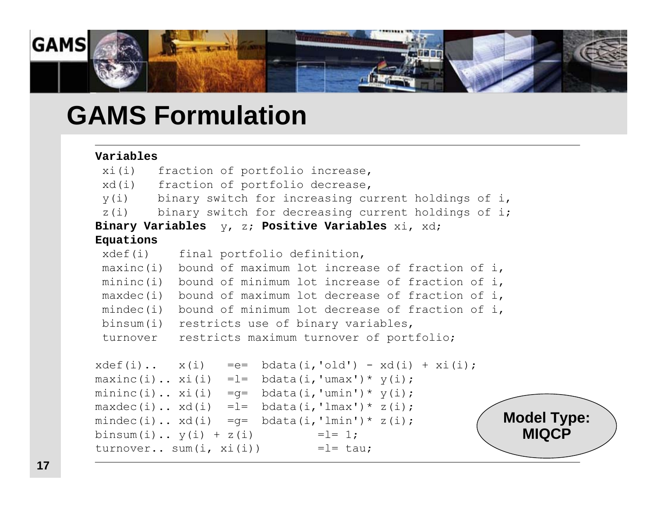

### **GAMS Formulation**

#### **Variables**

```
xi(i) fraction of portfolio increase,
xd(i) fraction of portfolio decrease,
y(i) binary switch for increasing current holdings of i,
 z(i) binary switch for decreasing current holdings of i;
Binary Variables y, z; Positive Variables xi, xd;
Equations 
 xdef(i) final portfolio definition,
maxinc(i) bound of maximum lot increase of fraction of i,
mininc(i) bound of minimum lot increase of fraction of i,
 maxdec(i) bound of maximum lot decrease of fraction of i,
mindec(i) bound of minimum lot decrease of fraction of i,
binsum(i) restricts use of binary variables,
 turnoverrestricts maximum turnover of portfolio;
xdef(i) \dots x(i) =e= bdata(i, 'old') - xd(i) + xi(i);maxinc(i).. xi(i) = l = bdata(i, 'umax') * y(i);mininc(i).. xi(i) = q = \text{bdata}(i, 'umin') * y(i);maxdec(i)..xd(i) =l= bdata(i, 'lmax') * z(i);mindec(i)..xd(i) = q= bdata(i, 'lmin') * z(i);binsum(i).. y(i) + z(i) = 1= 1;
turnover.. sum(i, xi(i)) = l= tau;
                                                         Model Type:
                                                            MIQCP
```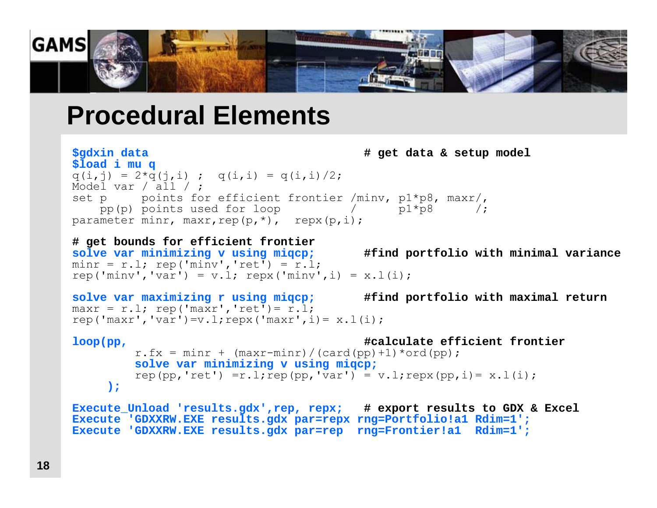

### **Procedural Elements**

```
$gdxin data # get data & setup model
$load i mu q 
q(i, j) = 2*q(j, i); q(i, i) = q(i, i)/2;
Model var / all / ;
set p points for efficient frontier /minv, p1*p8, maxr/,
   pp(p) points used for loop / p1*p8 /;
parameter minr, maxr, rep(p, *), repx(p, i);
```

```
# get bounds for efficient frontier
solve var minimizing v using miqcp; #find portfolio with minimal variance
minr = r.l; rep('minv', 'ret') = r.l;rep('minv','var') = v.l; repx('minv',i) = x.l(i);
```

```
solve var maximizing r using miqcp; #find portfolio with maximal return
maxr = r.l; rep('maxr', 'ret') = r.l;rep('maxr','var')=v.l;repx('maxr',i)=x.l(i);
```

```
loop(pp, #calculate efficient frontier
       r.fx = minr + (maxr-minr)/(card(pp)+1)*ord(pp);solve var minimizing v using miqcp;
       rep(pp,'ret')=r.l;rep(pp,'var') = v.l;repx(pp,i)=x.l(i););
```

```
Execute_Unload 'results.gdx',rep, repx; # export results to GDX & Excel
Execute 'GDXXRW.EXE results.gdx par=repx rng=Portfolio!a1 Rdim=1';
Execute 'GDXXRW.EXE results.gdx par=rep rng=Frontier!a1 Rdim=1';
```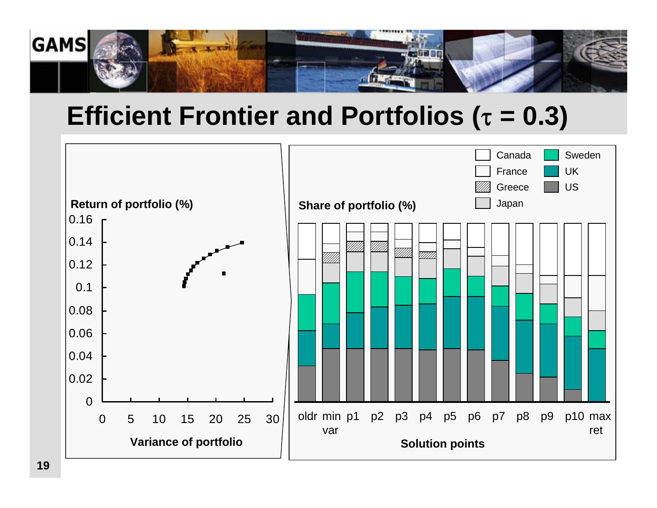

# **Efficient Frontier and Portfolios (**<sup>τ</sup> **= 0.3)**

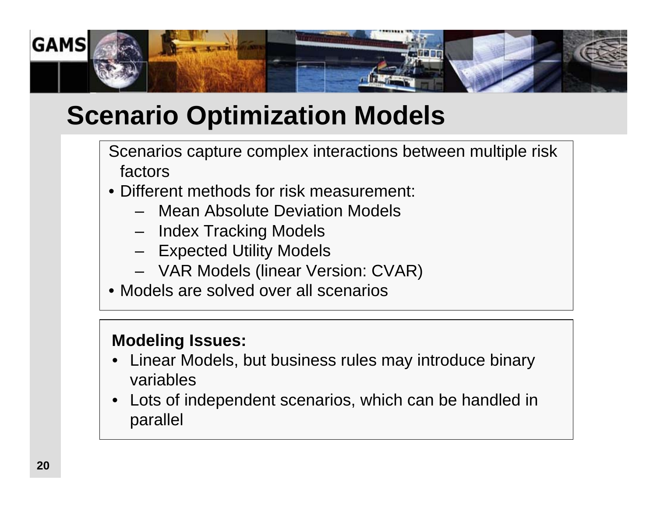

# **Scenario Optimization Models**

Scenarios capture complex interactions between multiple risk factors

- Different methods for risk measurement:
	- Mean Absolute Deviation Models
	- –Index Tracking Models
	- –Expected Utility Models
	- –VAR Models (linear Version: CVAR)
- Models are solved over all scenarios

#### **Modeling Issues:**

- • Linear Models, but business rules may introduce binary variables
- $\bullet$  Lots of independent scenarios, which can be handled in parallel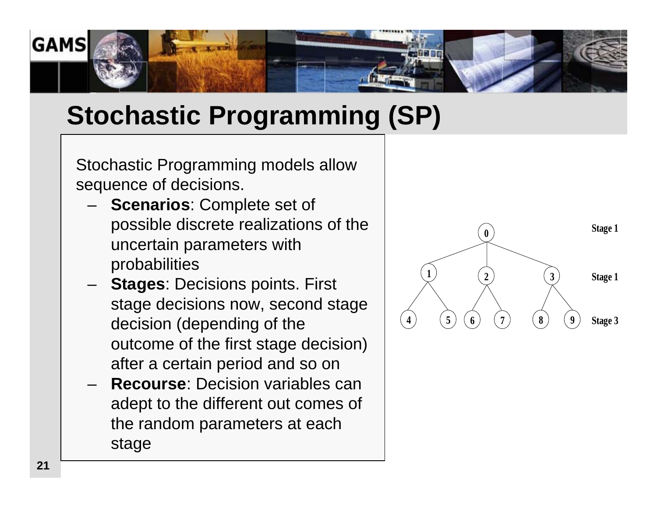

# **Stochastic Programming (SP)**

Stochastic Programming models allow sequence of decisions.

- **Scenarios**: Complete set of possible discrete realizations of the uncertain parameters with probabilities
- **Stages**: Decisions points. First stage decisions now, second stage decision (depending of the outcome of the first stage decision) after a certain period and so on
- **Recourse**: Decision variables can adept to the different out comes of the random parameters at each stage

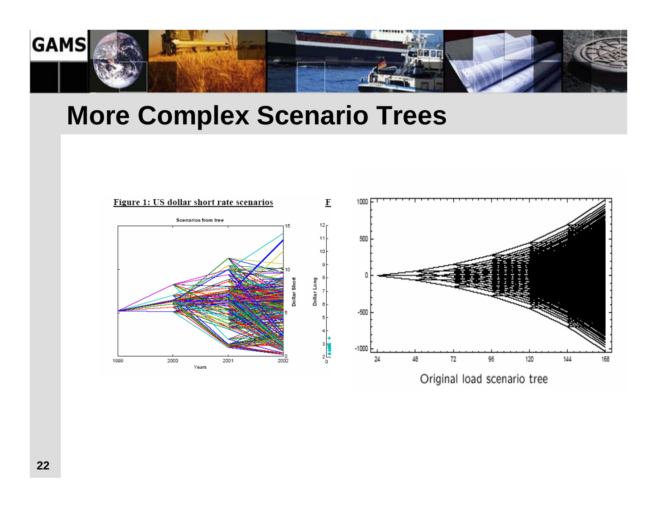

### **More Complex Scenario Trees**

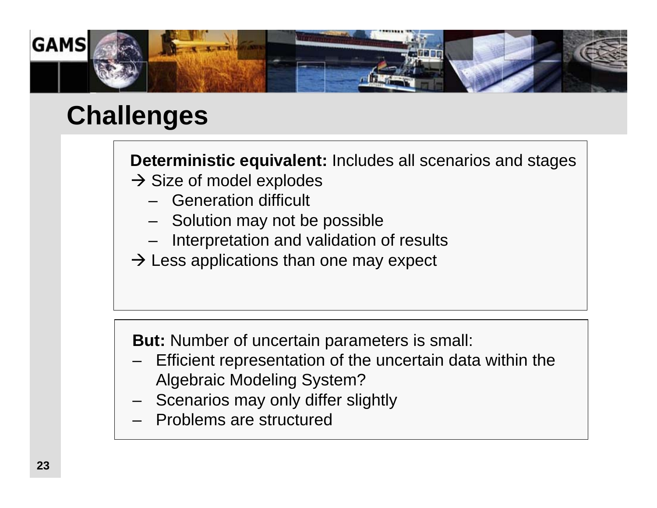

# **Challenges**

#### **Deterministic equivalent:** Includes all scenarios and stages

- $\rightarrow$  Size of model explodes
	- Generation difficult
	- Solution may not be possible
	- Interpretation and validation of results
- $\rightarrow$  Less applications than one may expect

**But:** Number of uncertain parameters is small:

- – Efficient representation of the uncertain data within the Algebraic Modeling System?
- –Scenarios may only differ slightly
- –Problems are structured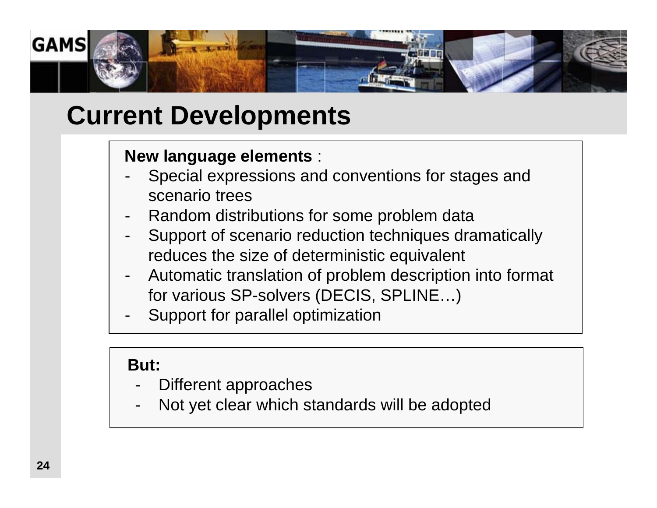

# **Current Developments**

#### **New language elements** :

- - Special expressions and conventions for stages and scenario trees
- -Random distributions for some problem data
- - Support of scenario reduction techniques dramatically reduces the size of deterministic equivalent
- - Automatic translation of problem description into format for various SP-solvers (DECIS, SPLINE…)
- -Support for parallel optimization

#### **But:**

- -Different approaches
- -Not yet clear which standards will be adopted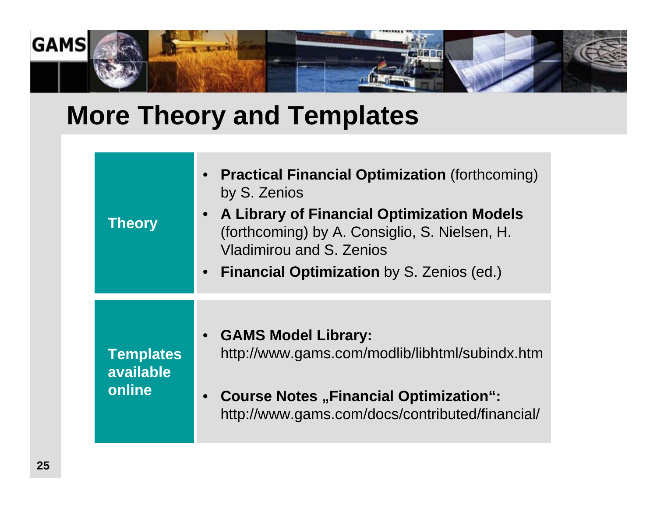

# **More Theory and Templates**

| <b>Theory</b>                           | • Practical Financial Optimization (forthcoming)<br>by S. Zenios<br>• A Library of Financial Optimization Models<br>(forthcoming) by A. Consiglio, S. Nielsen, H.<br>Vladimirou and S. Zenios<br>• Financial Optimization by S. Zenios (ed.) |
|-----------------------------------------|----------------------------------------------------------------------------------------------------------------------------------------------------------------------------------------------------------------------------------------------|
| <b>Templates</b><br>available<br>online | • GAMS Model Library:<br>http://www.gams.com/modlib/libhtml/subindx.htm<br>• Course Notes "Financial Optimization":<br>http://www.gams.com/docs/contributed/financial/                                                                       |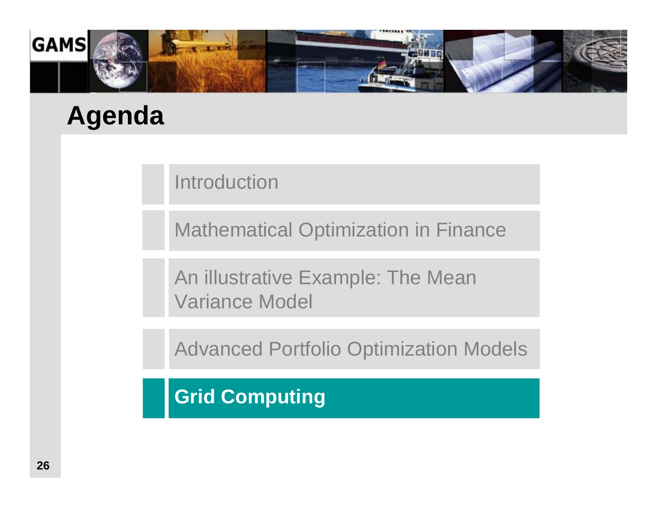

# **Agenda**

**Introduction** 

Mathematical Optimization in Finance

An illustrative Example: The Mean Variance Model

Advanced Portfolio Optimization Models

**Grid Computing**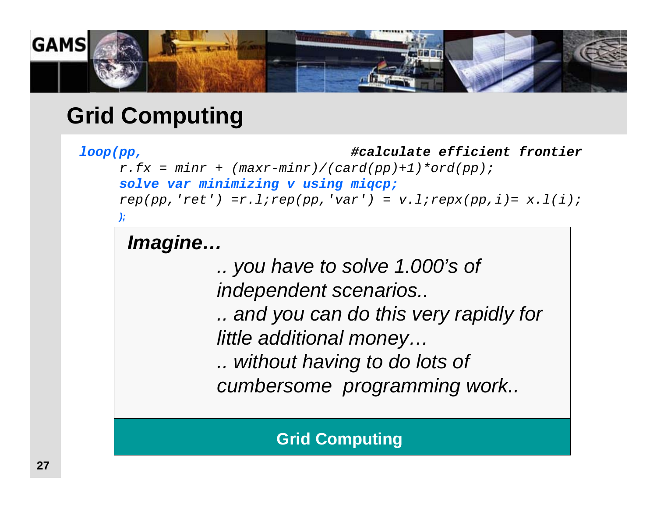

### **Grid Computing**

#### *loop(pp, #calculate efficient frontier*

*r.fx = minr + (maxr-minr)/(card(pp)+1)\*ord(pp); solve var minimizing v using miqcp;*  $rep(pp,'ret') = r.l; rep(pp,'var') = v.l; repxp(pp,i) = x.l(i);$ *);* 

### *Imagine…*

*.. you have to solve 1.000's of independent scenarios..*

*.. and you can do this very rapidly for little additional money…*

*.. without having to do lots of cumbersome programming work..*

**Grid Computing**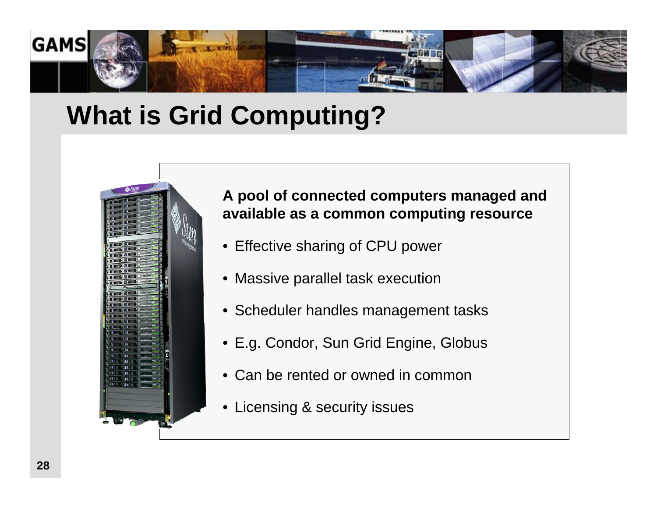

# **What is Grid Computing?**



#### **A pool of connected computers managed and available as a common computing resource**

- Effective sharing of CPU power
- Massive parallel task execution
- Scheduler handles management tasks
- E.g. Condor, Sun Grid Engine, Globus
- Can be rented or owned in common
- Licensing & security issues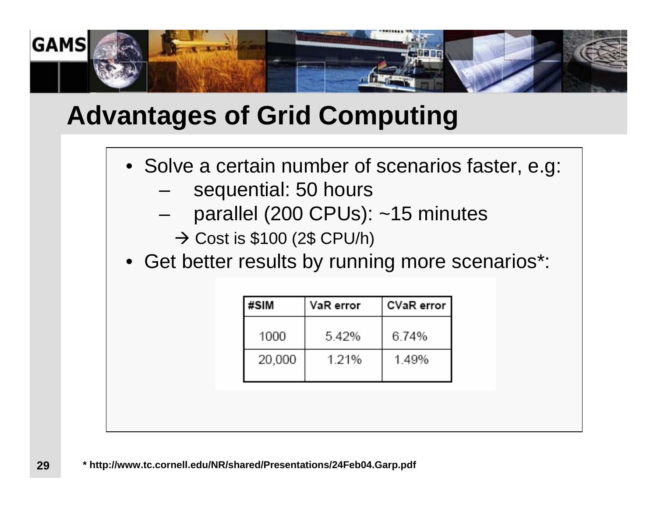

# **Advantages of Grid Computing**

- Solve a certain number of scenarios faster, e.g:
	- –sequential: 50 hours
	- –parallel (200 CPUs): ~15 minutes

 $\rightarrow$  Cost is \$100 (2\$ CPU/h)

• Get better results by running more scenarios\*:

| #SIM   | VaR error | CVaR error |  |  |
|--------|-----------|------------|--|--|
| 1000   | 5.42%     | 6.74%      |  |  |
| 20,000 | 1.21%     | 1.49%      |  |  |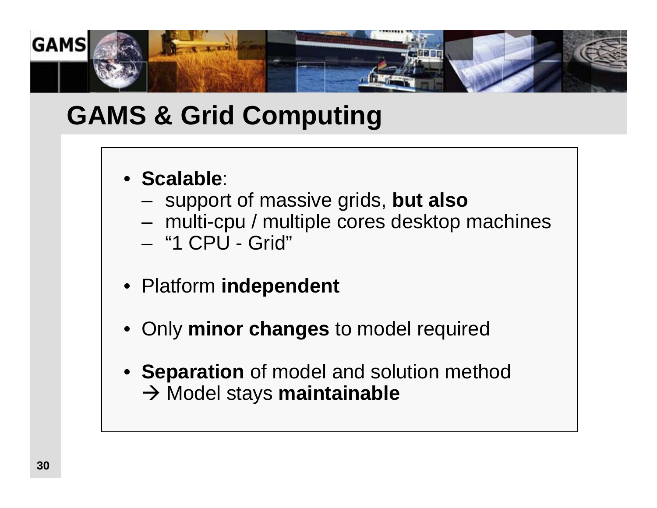

# **GAMS & Grid Computing**

- **Scalable**:
	- support of massive grids, **but also**
	- –multi-cpu / multiple cores desktop machines
	- "1 CPU Grid"
- Platform **independent**
- •Only **minor changes** to model required
- **Separation** of model and solution method **→ Model stays maintainable**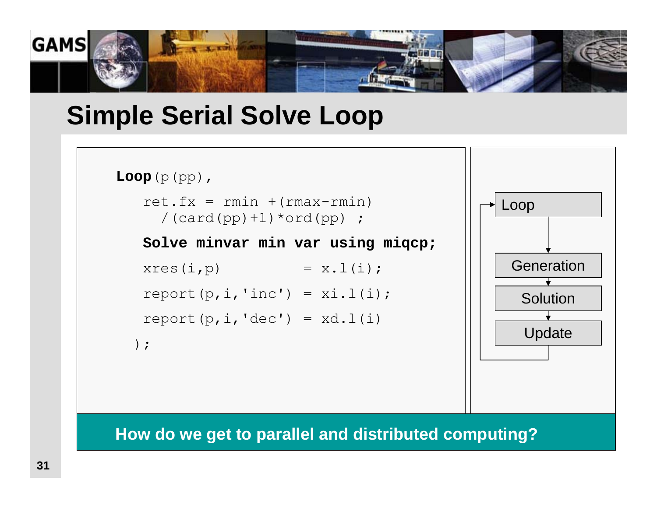

### **Simple Serial Solve Loop**

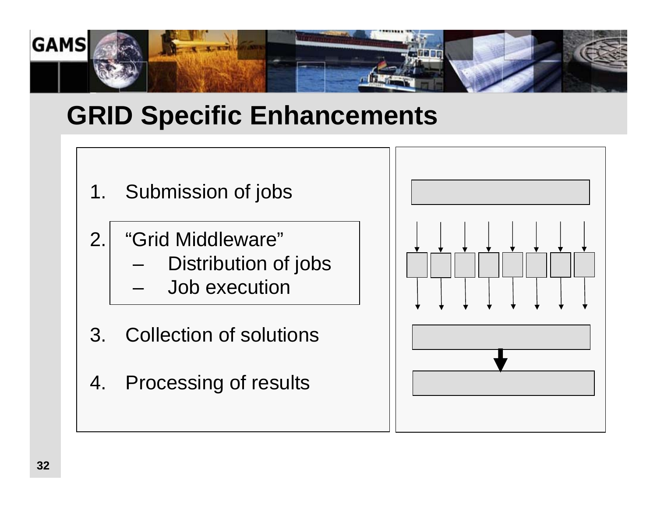

# **GRID Specific Enhancements**

- 1. Submission of jobs
- 2. "Grid Middleware"
	- –Distribution of jobs
	- –Job execution
- 3. Collection of solutions
- 4. Processing of results

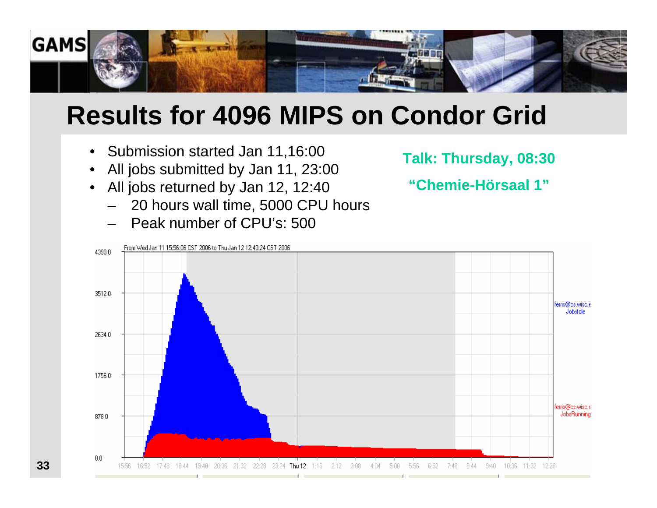

# **Results for 4096 MIPS on Condor Grid**

- $\bullet$ Submission started Jan 11,16:00
- •All jobs submitted by Jan 11, 23:00
- $\bullet$  All jobs returned by Jan 12, 12:40
	- 20 hours wall time, 5000 CPU hours
	- Peak number of CPU's: 500

**Talk: Thursday, 08:30** 

**"Chemie-Hörsaal 1"**



**33**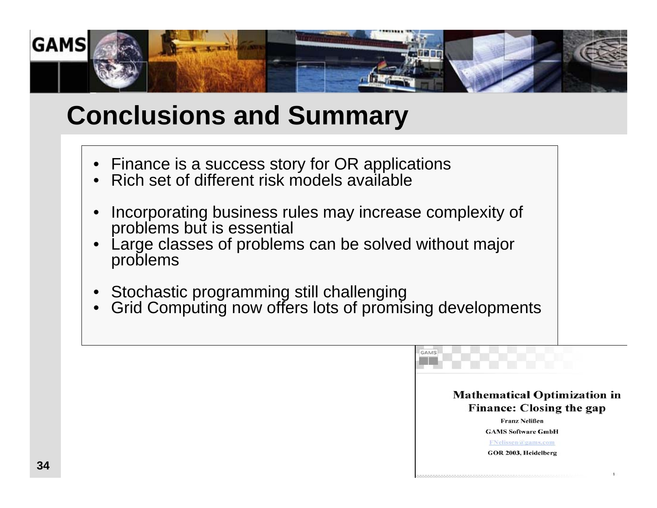

# **Conclusions and Summary**

- •Finance is a success story for OR applications
- Rich set of different risk models available
- • Incorporating business rules may increase complexity of problems but is essential
- • Large classes of problems can be solved without major problems
- •Stochastic programming still challenging
- •Grid Computing now offers lots of promising developments

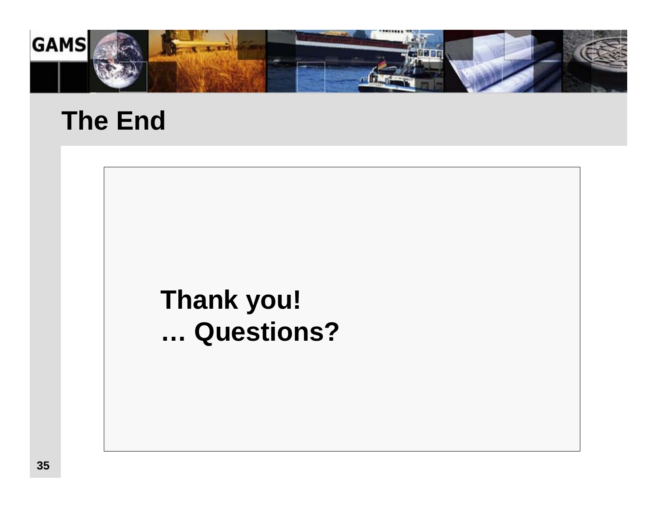

# **The End**

# **Thank you! … Questions?**